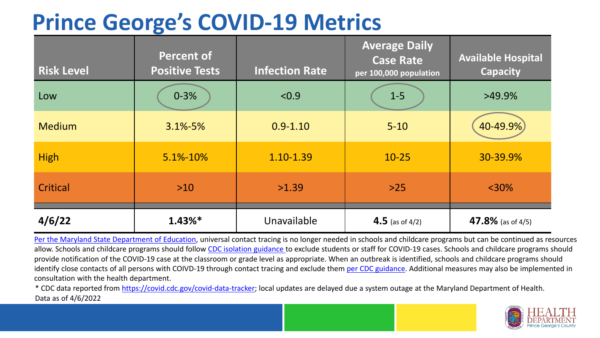## **Prince George's COVID-19 Metrics**

| <b>Risk Level</b> | <b>Percent of</b><br><b>Positive Tests</b> | <b>Infection Rate</b> | <b>Average Daily</b><br><b>Case Rate</b><br>per 100,000 population | <b>Available Hospital</b><br><b>Capacity</b> |
|-------------------|--------------------------------------------|-----------------------|--------------------------------------------------------------------|----------------------------------------------|
| Low               | $0 - 3%$                                   | < 0.9                 | $1-5$                                                              | $>49.9\%$                                    |
| <b>Medium</b>     | $3.1\% - 5\%$                              | $0.9 - 1.10$          | $5 - 10$                                                           | 40-49.9%)                                    |
| <b>High</b>       | 5.1%-10%                                   | 1.10-1.39             | $10 - 25$                                                          | 30-39.9%                                     |
| Critical          | $>10$                                      | >1.39                 | $>25$                                                              | $<$ 30%                                      |
| 4/6/22            | $1.43\%*$                                  | Unavailable           | 4.5 (as of $4/2$ )                                                 | 47.8% (as of 4/5)                            |

[Per the Maryland State Department of Education,](https://earlychildhood.marylandpublicschools.org/system/files/filedepot/3/covid_guidance_full_080420.pdf) universal contact tracing is no longer needed in schools and childcare programs but can be continued as resources allow. Schools and childcare programs should follow [CDC isolation guidance t](https://www.cdc.gov/coronavirus/2019-ncov/community/schools-childcare/k-12-contact-tracing/about-isolation.html)o exclude students or staff for COVID-19 cases. Schools and childcare programs should provide notification of the COVID-19 case at the classroom or grade level as appropriate. When an outbreak is identified, schools and childcare programs should identify close contacts of all persons with COIVD-19 through contact tracing and exclude them [per CDC guidance](https://www.cdc.gov/coronavirus/2019-ncov/your-health/quarantine-isolation.html). Additional measures may also be implemented in consultation with the health department.

\* CDC data reported from [https://covid.cdc.gov/covid-data-tracker;](https://covid.cdc.gov/covid-data-tracker) local updates are delayed due a system outage at the Maryland Department of Health. Data as of 4/6/2022

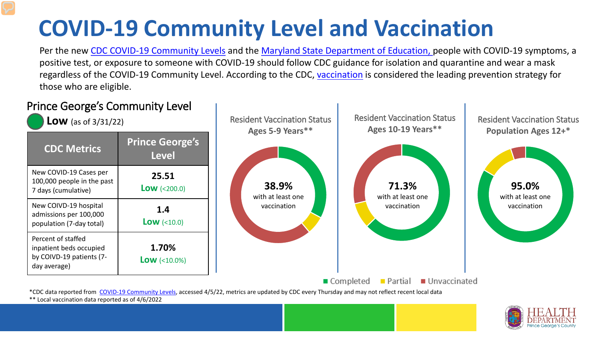## **COVID-19 Community Level and Vaccination**

Per the new [CDC COVID-19 Community Levels](https://www.cdc.gov/coronavirus/2019-ncov/science/community-levels.html#anchor_82254) and the [Maryland State Department of Education, p](https://earlychildhood.marylandpublicschools.org/system/files/filedepot/3/covid_guidance_full_080420.pdf)eople with COVID-19 symptoms, a positive test, or exposure to someone with COVID-19 should follow CDC guidance for isolation and quarantine and wear a mask regardless of the COVID-19 Community Level. According to the CDC, [vaccination](https://www.cdc.gov/coronavirus/2019-ncov/prevent-getting-sick/prevention.html) is considered the leading prevention strategy for those who are eligible.



\*\* Local vaccination data reported as of 4/6/2022

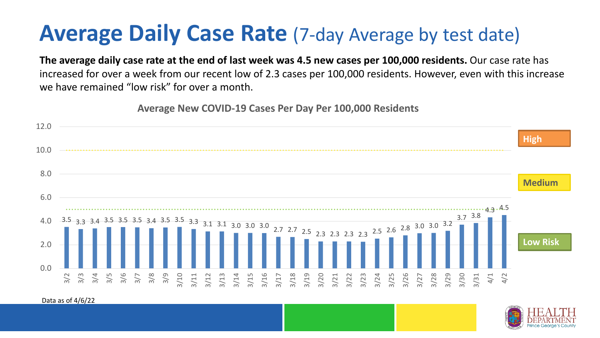## **Average Daily Case Rate** (7-day Average by test date)

**The average daily case rate at the end of last week was 4.5 new cases per 100,000 residents.** Our case rate has increased for over a week from our recent low of 2.3 cases per 100,000 residents. However, even with this increase we have remained "low risk" for over a month.

**Average New COVID-19 Cases Per Day Per 100,000 Residents**



Data as of 4/6/22